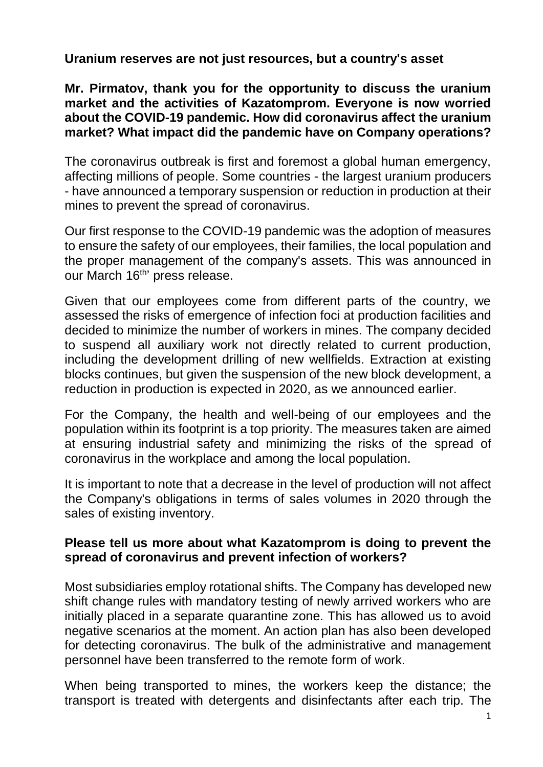**Uranium reserves are not just resources, but a country's asset**

**Mr. Pirmatov, thank you for the opportunity to discuss the uranium market and the activities of Kazatomprom. Everyone is now worried about the COVID-19 pandemic. How did coronavirus affect the uranium market? What impact did the pandemic have on Company operations?**

The coronavirus outbreak is first and foremost a global human emergency, affecting millions of people. Some countries - the largest uranium producers - have announced a temporary suspension or reduction in production at their mines to prevent the spread of coronavirus.

Our first response to the COVID-19 pandemic was the adoption of measures to ensure the safety of our employees, their families, the local population and the proper management of the company's assets. This was announced in our March 16<sup>th</sup>' press release.

Given that our employees come from different parts of the country, we assessed the risks of emergence of infection foci at production facilities and decided to minimize the number of workers in mines. The company decided to suspend all auxiliary work not directly related to current production, including the development drilling of new wellfields. Extraction at existing blocks continues, but given the suspension of the new block development, a reduction in production is expected in 2020, as we announced earlier.

For the Company, the health and well-being of our employees and the population within its footprint is a top priority. The measures taken are aimed at ensuring industrial safety and minimizing the risks of the spread of coronavirus in the workplace and among the local population.

It is important to note that a decrease in the level of production will not affect the Company's obligations in terms of sales volumes in 2020 through the sales of existing inventory.

### **Please tell us more about what Kazatomprom is doing to prevent the spread of coronavirus and prevent infection of workers?**

Most subsidiaries employ rotational shifts. The Company has developed new shift change rules with mandatory testing of newly arrived workers who are initially placed in a separate quarantine zone. This has allowed us to avoid negative scenarios at the moment. An action plan has also been developed for detecting coronavirus. The bulk of the administrative and management personnel have been transferred to the remote form of work.

When being transported to mines, the workers keep the distance; the transport is treated with detergents and disinfectants after each trip. The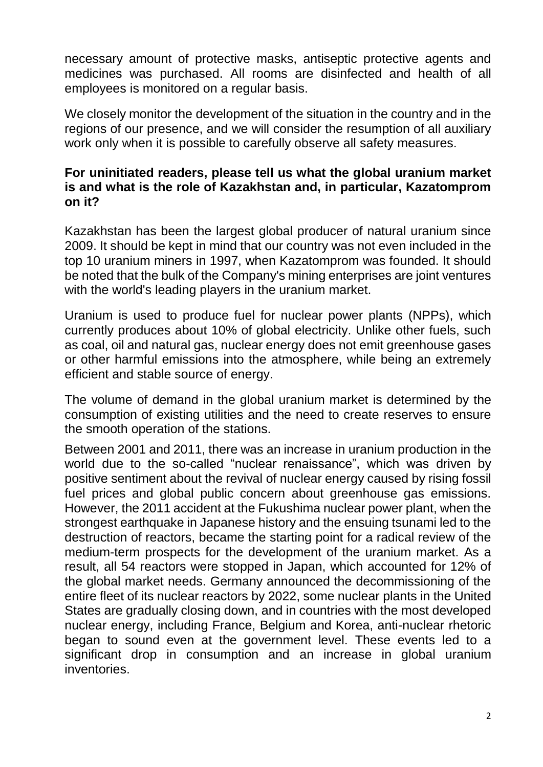necessary amount of protective masks, antiseptic protective agents and medicines was purchased. All rooms are disinfected and health of all employees is monitored on a regular basis.

We closely monitor the development of the situation in the country and in the regions of our presence, and we will consider the resumption of all auxiliary work only when it is possible to carefully observe all safety measures.

#### **For uninitiated readers, please tell us what the global uranium market is and what is the role of Kazakhstan and, in particular, Kazatomprom on it?**

Kazakhstan has been the largest global producer of natural uranium since 2009. It should be kept in mind that our country was not even included in the top 10 uranium miners in 1997, when Kazatomprom was founded. It should be noted that the bulk of the Company's mining enterprises are joint ventures with the world's leading players in the uranium market.

Uranium is used to produce fuel for nuclear power plants (NPPs), which currently produces about 10% of global electricity. Unlike other fuels, such as coal, oil and natural gas, nuclear energy does not emit greenhouse gases or other harmful emissions into the atmosphere, while being an extremely efficient and stable source of energy.

The volume of demand in the global uranium market is determined by the consumption of existing utilities and the need to create reserves to ensure the smooth operation of the stations.

Between 2001 and 2011, there was an increase in uranium production in the world due to the so-called "nuclear renaissance", which was driven by positive sentiment about the revival of nuclear energy caused by rising fossil fuel prices and global public concern about greenhouse gas emissions. However, the 2011 accident at the Fukushima nuclear power plant, when the strongest earthquake in Japanese history and the ensuing tsunami led to the destruction of reactors, became the starting point for a radical review of the medium-term prospects for the development of the uranium market. As a result, all 54 reactors were stopped in Japan, which accounted for 12% of the global market needs. Germany announced the decommissioning of the entire fleet of its nuclear reactors by 2022, some nuclear plants in the United States are gradually closing down, and in countries with the most developed nuclear energy, including France, Belgium and Korea, anti-nuclear rhetoric began to sound even at the government level. These events led to a significant drop in consumption and an increase in global uranium inventories.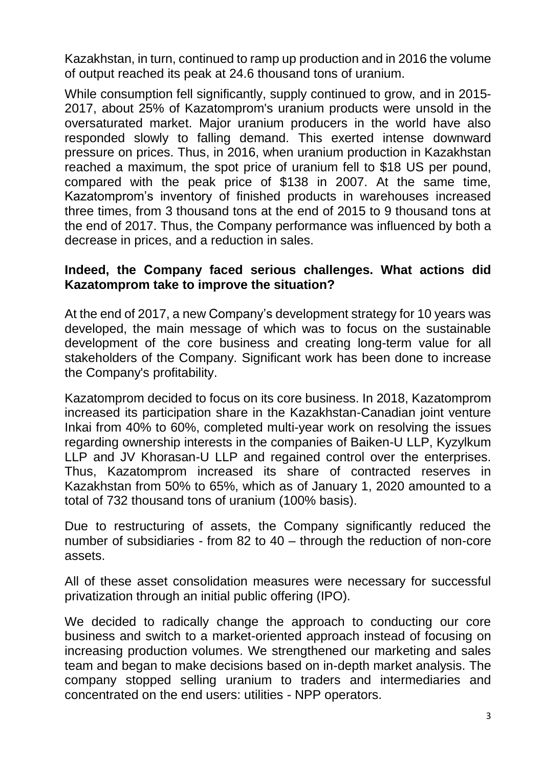Kazakhstan, in turn, continued to ramp up production and in 2016 the volume of output reached its peak at 24.6 thousand tons of uranium.

While consumption fell significantly, supply continued to grow, and in 2015- 2017, about 25% of Kazatomprom's uranium products were unsold in the oversaturated market. Major uranium producers in the world have also responded slowly to falling demand. This exerted intense downward pressure on prices. Thus, in 2016, when uranium production in Kazakhstan reached a maximum, the spot price of uranium fell to \$18 US per pound, compared with the peak price of \$138 in 2007. At the same time, Kazatomprom's inventory of finished products in warehouses increased three times, from 3 thousand tons at the end of 2015 to 9 thousand tons at the end of 2017. Thus, the Company performance was influenced by both a decrease in prices, and a reduction in sales.

### **Indeed, the Сompany faced serious challenges. What actions did Kazatomprom take to improve the situation?**

At the end of 2017, a new Company's development strategy for 10 years was developed, the main message of which was to focus on the sustainable development of the core business and creating long-term value for all stakeholders of the Company. Significant work has been done to increase the Company's profitability.

Kazatomprom decided to focus on its core business. In 2018, Kazatomprom increased its participation share in the Kazakhstan-Canadian joint venture Inkai from 40% to 60%, completed multi-year work on resolving the issues regarding ownership interests in the companies of Baiken-U LLP, Kyzylkum LLP and JV Khorasan-U LLP and regained control over the enterprises. Thus, Kazatomprom increased its share of contracted reserves in Kazakhstan from 50% to 65%, which as of January 1, 2020 amounted to a total of 732 thousand tons of uranium (100% basis).

Due to restructuring of assets, the Company significantly reduced the number of subsidiaries - from 82 to 40 – through the reduction of non-core assets.

All of these asset consolidation measures were necessary for successful privatization through an initial public offering (IPO).

We decided to radically change the approach to conducting our core business and switch to a market-oriented approach instead of focusing on increasing production volumes. We strengthened our marketing and sales team and began to make decisions based on in-depth market analysis. The company stopped selling uranium to traders and intermediaries and concentrated on the end users: utilities - NPP operators.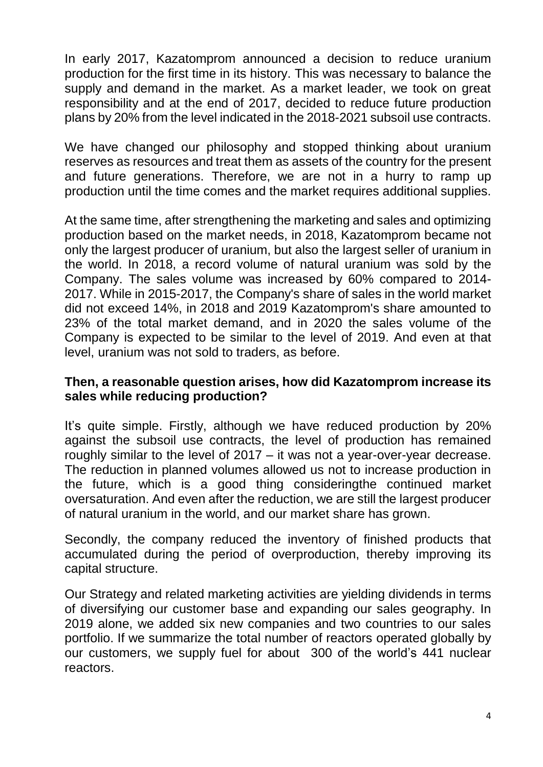In early 2017, Kazatomprom announced a decision to reduce uranium production for the first time in its history. This was necessary to balance the supply and demand in the market. As a market leader, we took on great responsibility and at the end of 2017, decided to reduce future production plans by 20% from the level indicated in the 2018-2021 subsoil use contracts.

We have changed our philosophy and stopped thinking about uranium reserves as resources and treat them as assets of the country for the present and future generations. Therefore, we are not in a hurry to ramp up production until the time comes and the market requires additional supplies.

At the same time, after strengthening the marketing and sales and optimizing production based on the market needs, in 2018, Kazatomprom became not only the largest producer of uranium, but also the largest seller of uranium in the world. In 2018, a record volume of natural uranium was sold by the Company. The sales volume was increased by 60% compared to 2014- 2017. While in 2015-2017, the Company's share of sales in the world market did not exceed 14%, in 2018 and 2019 Kazatomprom's share amounted to 23% of the total market demand, and in 2020 the sales volume of the Company is expected to be similar to the level of 2019. And even at that level, uranium was not sold to traders, as before.

### **Then, a reasonable question arises, how did Kazatomprom increase its sales while reducing production?**

It's quite simple. Firstly, although we have reduced production by 20% against the subsoil use contracts, the level of production has remained roughly similar to the level of 2017 – it was not a year-over-year decrease. The reduction in planned volumes allowed us not to increase production in the future, which is a good thing consideringthe continued market oversaturation. And even after the reduction, we are still the largest producer of natural uranium in the world, and our market share has grown.

Secondly, the company reduced the inventory of finished products that accumulated during the period of overproduction, thereby improving its capital structure.

Our Strategy and related marketing activities are yielding dividends in terms of diversifying our customer base and expanding our sales geography. In 2019 alone, we added six new companies and two countries to our sales portfolio. If we summarize the total number of reactors operated globally by our customers, we supply fuel for about 300 of the world's 441 nuclear reactors.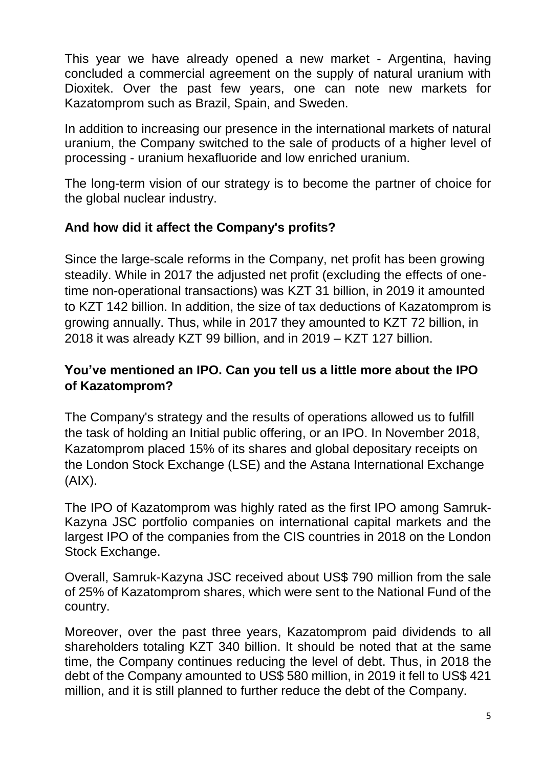This year we have already opened a new market - Argentina, having concluded a commercial agreement on the supply of natural uranium with Dioxitek. Over the past few years, one can note new markets for Kazatomprom such as Brazil, Spain, and Sweden.

In addition to increasing our presence in the international markets of natural uranium, the Company switched to the sale of products of a higher level of processing - uranium hexafluoride and low enriched uranium.

The long-term vision of our strategy is to become the partner of choice for the global nuclear industry.

# **And how did it affect the Company's profits?**

Since the large-scale reforms in the Company, net profit has been growing steadily. While in 2017 the adjusted net profit (excluding the effects of onetime non-operational transactions) was KZT 31 billion, in 2019 it amounted to KZT 142 billion. In addition, the size of tax deductions of Kazatomprom is growing annually. Thus, while in 2017 they amounted to KZT 72 billion, in 2018 it was already KZT 99 billion, and in 2019 – KZT 127 billion.

## **You've mentioned an IPO. Can you tell us a little more about the IPO of Kazatomprom?**

The Company's strategy and the results of operations allowed us to fulfill the task of holding an Initial public offering, or an IPO. In November 2018, Kazatomprom placed 15% of its shares and global depositary receipts on the London Stock Exchange (LSE) and the Astana International Exchange (AIX).

The IPO of Kazatomprom was highly rated as the first IPO among Samruk-Kazyna JSC portfolio companies on international capital markets and the largest IPO of the companies from the CIS countries in 2018 on the London Stock Exchange.

Overall, Samruk-Kazyna JSC received about US\$ 790 million from the sale of 25% of Kazatomprom shares, which were sent to the National Fund of the country.

Moreover, over the past three years, Kazatomprom paid dividends to all shareholders totaling KZT 340 billion. It should be noted that at the same time, the Company continues reducing the level of debt. Thus, in 2018 the debt of the Company amounted to US\$ 580 million, in 2019 it fell to US\$ 421 million, and it is still planned to further reduce the debt of the Company.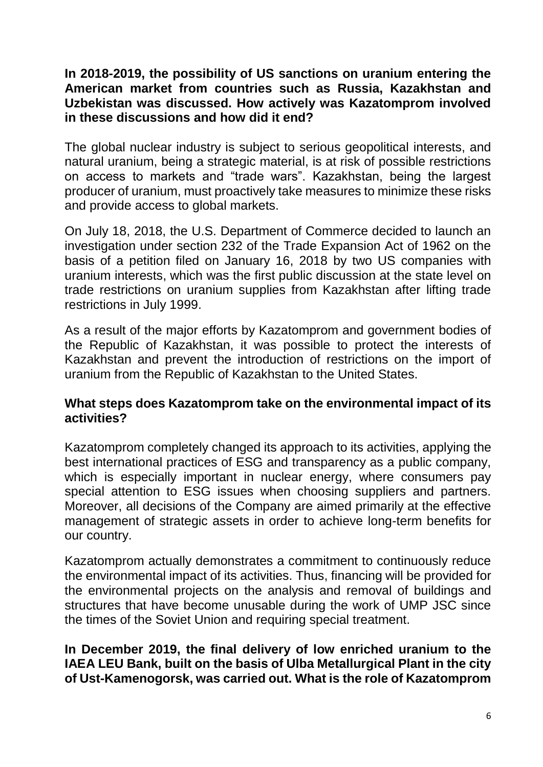### **In 2018-2019, the possibility of US sanctions on uranium entering the American market from countries such as Russia, Kazakhstan and Uzbekistan was discussed. How actively was Kazatomprom involved in these discussions and how did it end?**

The global nuclear industry is subject to serious geopolitical interests, and natural uranium, being a strategic material, is at risk of possible restrictions on access to markets and "trade wars". Kazakhstan, being the largest producer of uranium, must proactively take measures to minimize these risks and provide access to global markets.

On July 18, 2018, the U.S. Department of Commerce decided to launch an investigation under section 232 of the Trade Expansion Act of 1962 on the basis of a petition filed on January 16, 2018 by two US companies with uranium interests, which was the first public discussion at the state level on trade restrictions on uranium supplies from Kazakhstan after lifting trade restrictions in July 1999.

As a result of the major efforts by Kazatomprom and government bodies of the Republic of Kazakhstan, it was possible to protect the interests of Kazakhstan and prevent the introduction of restrictions on the import of uranium from the Republic of Kazakhstan to the United States.

### **What steps does Kazatomprom take on the environmental impact of its activities?**

Kazatomprom completely changed its approach to its activities, applying the best international practices of ESG and transparency as a public company, which is especially important in nuclear energy, where consumers pay special attention to ESG issues when choosing suppliers and partners. Moreover, all decisions of the Company are aimed primarily at the effective management of strategic assets in order to achieve long-term benefits for our country.

Kazatomprom actually demonstrates a commitment to continuously reduce the environmental impact of its activities. Thus, financing will be provided for the environmental projects on the analysis and removal of buildings and structures that have become unusable during the work of UMP JSC since the times of the Soviet Union and requiring special treatment.

**In December 2019, the final delivery of low enriched uranium to the IAEA LEU Bank, built on the basis of Ulba Metallurgical Plant in the city of Ust-Kamenogorsk, was carried out. What is the role of Kazatomprom**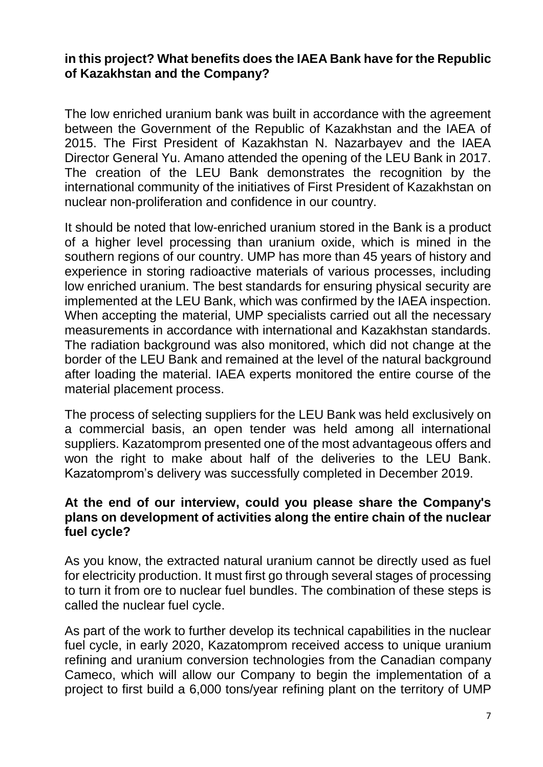### **in this project? What benefits does the IAEA Bank have for the Republic of Kazakhstan and the Company?**

The low enriched uranium bank was built in accordance with the agreement between the Government of the Republic of Kazakhstan and the IAEA of 2015. The First President of Kazakhstan N. Nazarbayev and the IAEA Director General Yu. Amano attended the opening of the LEU Bank in 2017. The creation of the LEU Bank demonstrates the recognition by the international community of the initiatives of First President of Kazakhstan on nuclear non-proliferation and confidence in our country.

It should be noted that low-enriched uranium stored in the Bank is a product of a higher level processing than uranium oxide, which is mined in the southern regions of our country. UMP has more than 45 years of history and experience in storing radioactive materials of various processes, including low enriched uranium. The best standards for ensuring physical security are implemented at the LEU Bank, which was confirmed by the IAEA inspection. When accepting the material, UMP specialists carried out all the necessary measurements in accordance with international and Kazakhstan standards. The radiation background was also monitored, which did not change at the border of the LEU Bank and remained at the level of the natural background after loading the material. IAEA experts monitored the entire course of the material placement process.

The process of selecting suppliers for the LEU Bank was held exclusively on a commercial basis, an open tender was held among all international suppliers. Kazatomprom presented one of the most advantageous offers and won the right to make about half of the deliveries to the LEU Bank. Kazatomprom's delivery was successfully completed in December 2019.

### **At the end of our interview, could you please share the Company's plans on development of activities along the entire chain of the nuclear fuel cycle?**

As you know, the extracted natural uranium cannot be directly used as fuel for electricity production. It must first go through several stages of processing to turn it from ore to nuclear fuel bundles. The combination of these steps is called the nuclear fuel cycle.

As part of the work to further develop its technical capabilities in the nuclear fuel cycle, in early 2020, Kazatomprom received access to unique uranium refining and uranium conversion technologies from the Canadian company Cameco, which will allow our Company to begin the implementation of a project to first build a 6,000 tons/year refining plant on the territory of UMP